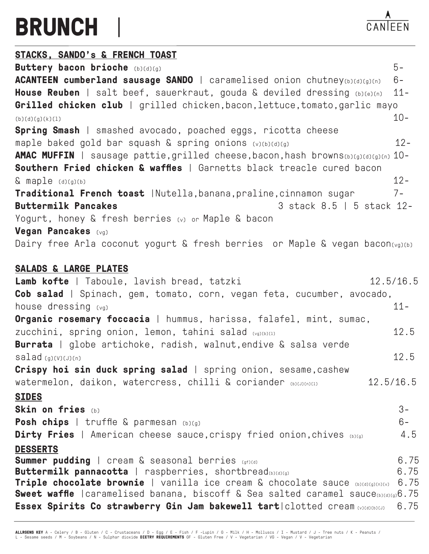## **BRUNCH** |

 $\lambda$ CANIEEN

| STACKS, SANDO's & FRENCH TOAST                                                                                                                                              |           |
|-----------------------------------------------------------------------------------------------------------------------------------------------------------------------------|-----------|
| Buttery bacon brioche (b)(d)(g)                                                                                                                                             | $5-$      |
| <b>ACANTEEN cumberland sausage SANDO</b>   caramelised onion chutney(b)(d)(g)(n)                                                                                            | $6-$      |
| <b>House Reuben</b>   salt beef, sauerkraut, gouda & deviled dressing $(b)(e)(n)$                                                                                           | $11 -$    |
| Grilled chicken club   grilled chicken, bacon, lettuce, tomato, garlic mayo                                                                                                 |           |
| (b)(d)(g)(k)(1)                                                                                                                                                             | $10 -$    |
| <b>Spring Smash</b>   smashed avocado, poached eggs, ricotta cheese                                                                                                         |           |
| maple baked gold bar squash & spring onions (v)(b)(d)(g)                                                                                                                    | $12 -$    |
| AMAC MUFFIN   sausage pattie, grilled cheese, bacon, hash browns(b)(g)(d)(g)(n) 10-                                                                                         |           |
| Southern Fried chicken & waffles   Garnetts black treacle cured bacon                                                                                                       |           |
| $\&$ maple $(d)(g)(b)$                                                                                                                                                      | $12 -$    |
| Traditional French toast   Nutella, banana, praline, cinnamon sugar                                                                                                         | $7 -$     |
| 3 stack 8.5   5 stack 12-<br><b>Buttermilk Pancakes</b>                                                                                                                     |           |
| Yogurt, honey & fresh berries (v) or Maple & bacon                                                                                                                          |           |
| Vegan Pancakes (vg)                                                                                                                                                         |           |
| Dairy free Arla coconut yogurt & fresh berries or Maple & vegan bacon(vg)(b)                                                                                                |           |
|                                                                                                                                                                             |           |
| <b>SALADS &amp; LARGE PLATES</b>                                                                                                                                            |           |
| Lamb kofte   Taboule, lavish bread, tatzki                                                                                                                                  | 12.5/16.5 |
| Cob salad   Spinach, gem, tomato, corn, vegan feta, cucumber, avocado,                                                                                                      |           |
| house dressing (vg)                                                                                                                                                         | $11 -$    |
| Organic rosemary foccacia   hummus, harissa, falafel, mint, sumac,                                                                                                          |           |
| zucchini, spring onion, lemon, tahini salad (vg)(b)(1)                                                                                                                      | 12.5      |
| Burrata   globe artichoke, radish, walnut, endive & salsa verde                                                                                                             |           |
| salad correction                                                                                                                                                            | 12.5      |
| Crispy hoi sin duck spring salad   spring onion, sesame, cashew                                                                                                             |           |
| watermelon, daikon, watercress, chilli & coriander (b)(J)(n)(1)                                                                                                             | 12.5/16.5 |
| <b>SIDES</b>                                                                                                                                                                |           |
| Skin on fries (b)                                                                                                                                                           | $3-$      |
| Posh chips   truffle & parmesan (b)(g)                                                                                                                                      | $6-$      |
| <b>Dirty Fries</b>   American cheese sauce, crispy fried onion, chives (b)(g)                                                                                               | 4.5       |
| <b>DESSERTS</b>                                                                                                                                                             |           |
| <b>Summer pudding</b>   cream & seasonal berries (gf)(d)                                                                                                                    | 6.75      |
| <b>Buttermilk pannacotta</b>   raspberries, shortbread(b)(d)(g)                                                                                                             | 6.75      |
| Triple chocolate brownie   vanilla ice cream & chocolate sauce (b)(d)(g)(n)(v)<br><b>Sweet waffle</b>   caramelised banana, biscoff & Sea salted caramel sauce(b)(d)(g)6.75 | 6.75      |
| Essex Spirits Co strawberry Gin Jam bakewell tart clotted cream colonical                                                                                                   | 6.75      |
|                                                                                                                                                                             |           |